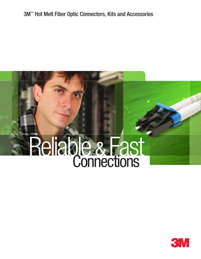# 3M™ Hot Melt Fiber Optic Connectors, Kits and Accessories

# Reliable & Fast Connections

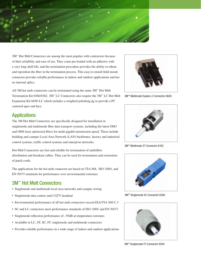

3M™ Hot Melt Connectors are among the most popular with contractors because of their reliability and ease of use. They come pre-loaded with an adhesive with a very long shelf life, and the termination procedure provides the ability to reheat and reposition the fiber in the termination process. This easy-to-install field mount connector provides reliable performance in indoor and outdoor applications and has no internal splice.

All 3M hot melt connectors can be terminated using the same  $3M<sup>m</sup>$  Hot Melt Termination Kit 6366/6362. 3M™ LC Connectors also require the 3M™ LC Hot Melt Expansion Kit 6650-LC which includes a weighted polishing jig to provide a PC centered apex end face.



3MTM Multimode Duplex LC Connector 6600

#### **Applications**

The 3M Hot Melt Connectors are specifically designed for installation in singlemode and multimode fiber data transport systems, including the latest OM3 and OM4 laser optimized fibers for multi-gigabit tansmission speed. These include building and campus Local Area Network (LAN) backbones, factory and industrial control systems, traffic control systems and enterprise networks.

Hot Melt Connectors are fast and reliable for termination of multifiber distribution and breakout cables. They can be used for termination and restoration of patch cords.

The applications for the hot melt connector are based on TIA-568, ISO 11801, and EN 50173 standards for performance over environmental extremes.

#### 3M™ Hot Melt Connectors

- Singlemode and multimode local area networks and campus wiring
- Singlemode data centers and CATV headend
- Environmental performance of all hot melt connectors exceed EIA/TIA 568-C.3
- SC and LC connectors meet performance standards of ISO 11801 and EN 50173
- Singlemode reflection performance of –55dB at temperature extremes
- Available in LC, ST, SC, FC singlemode and multimode connectors
- Provides reliable performance in a wide range of indoor and outdoor applications



3M™ Multimode ST Connector 6100



3MTM Singlemode SC Connector 8300



3MTM Singlemode FC Connector 8200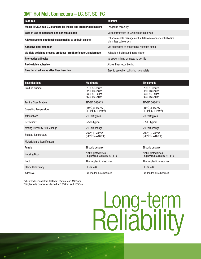## 3M™ Hot Melt Connectors – LC, ST, SC, FC

| <b>Features</b>                                                    | <b>Benefits</b>                                                                      |
|--------------------------------------------------------------------|--------------------------------------------------------------------------------------|
| Meets TIA/EIA 568-C.3 standard for indoor and outdoor applications | Long term reliability                                                                |
| Ease of use on backbone and horizontal cable                       | Quick termination in $<$ 2 minutes; high yield                                       |
| Allows custom length cable assemblies to be built on site          | Enhances cable management in telecom room or central office<br>Minimizes cable slack |
| <b>Adhesive fiber retention</b>                                    | Not dependent on mechanical retention alone                                          |
| 3M field polishing process produces <55dB reflection, singlemode   | Reliable in high speed transmission                                                  |
| <b>Pre-loaded adhesive</b>                                         | No epoxy mixing or mess; no pot life                                                 |
| <b>Re-heatable adhesive</b>                                        | Allows fiber repositioning                                                           |
| Blue dot of adhesive after fiber insertion                         | Easy to see when polishing is complete                                               |

| <b>Specifications</b>                | <b>Multimode</b>                                                        | <b>Singlemode</b>                                                                |  |
|--------------------------------------|-------------------------------------------------------------------------|----------------------------------------------------------------------------------|--|
| <b>Product Number</b>                | 6100 ST Series<br>6200 FC Series<br>6300 SC Series<br>6600 LC Series    | 8100 ST Series<br>8200 FC Series<br>8300 SC Series<br>8600 LC Series             |  |
| <b>Testing Specification</b>         | <b>TIA/EIA 568-C.3</b>                                                  | <b>TIA/EIA 568-C.3</b>                                                           |  |
| <b>Operating Temperature</b>         | $-10^{\circ}$ C to $+60^{\circ}$ C<br>$(+14^{\circ}F to +140^{\circ}F)$ | $-10^{\circ}$ C to $+60^{\circ}$ C<br>$(+14^{\circ}F \text{ to } +140^{\circ}F)$ |  |
| Attenuation*                         | $<$ 0.2dB typical                                                       | $<$ 0.2dB typical                                                                |  |
| Reflection*                          | -25dB typical                                                           | -55dB typical                                                                    |  |
| <b>Mating Durability 300 Matings</b> | <0.2dB change                                                           | $<$ 0.2dB change                                                                 |  |
| <b>Storage Temperature</b>           | $-40^{\circ}$ C to $+85^{\circ}$ C<br>$(-40^{\circ}F to +185^{\circ}F)$ | $-40^{\circ}$ C to $+85^{\circ}$ C<br>(-40°F to +185°F)                          |  |
| Materials and Identification         |                                                                         |                                                                                  |  |
| Ferrule                              | Zirconia ceramic                                                        | Zirconia ceramic                                                                 |  |
| <b>Housing Body</b>                  | Nickel plated zinc (ST)<br>Engineered resin (LC, SC, FC)                | Nickel plated zinc (ST)<br>Engineered resin (LC, SC, FC)                         |  |
| <b>Boot</b>                          | Thermoplastic elastomer                                                 | Thermoplastic elastomer                                                          |  |
| <b>Flame Retardancy</b>              | UL-94 V-0                                                               | UL-94 V-0                                                                        |  |
| Adhesive                             | Pre-loaded blue hot melt                                                | Pre-loaded blue hot melt                                                         |  |

\*Multimode connectors tested at 850nm and 1300nm. \*Singlemode connectors tested at 1310nm and 1550nm.

# Reliability Long-term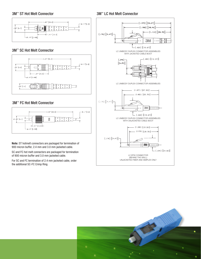#### 3M™ ST Hot Melt Connector

#### 3M™ LC Hot Melt Connector



#### 3M™ SC Hot Melt Connector



#### 3M™ FC Hot Melt Connector



**Note:** ST hotmelt connectors are packaged for termination of 900 micron buffer, 2.4 mm and 3.0 mm jacketed cable.

SC and FC hot melt connectors are packaged for termination of 900 micron buffer and 3.0 mm jacketed cable.

For SC and FC termination of 2.4 mm jacketed cable, order the additional SC-FC Crimp Ring.



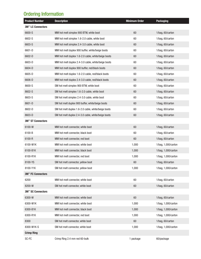# Ordering Information

| <b>Product Number</b> | <b>Description</b>                                  | <b>Minimum Order</b> | <b>Packaging</b>    |
|-----------------------|-----------------------------------------------------|----------------------|---------------------|
| 3M™ LC Connectors     |                                                     |                      |                     |
| 6600-S                | MM hot melt simplex 900 BTW, white boot             | 60                   | 1/bag, 60/carton    |
| 6602-S                | MM hot melt simplex 1.6-2.0 cable, white boot       | 60                   | 1/bag, 60/carton    |
| 6603-S                | MM hot melt simplex 2.4-3.0 cable, white boot       | 60                   | 1/bag, 60/carton    |
| 6601-D                | MM hot melt duplex 900 buffer, white/beige boots    | 60                   | 1/bag, 60/carton    |
| 6602-D                | MM hot melt duplex 1.6-2.0 cable, white/beige boots | 60                   | 1/bag, 60/carton    |
| 6603-D                | MM hot melt duplex 2.4-3.0 cable, white/beige boots | 60                   | 1/bag, 60/carton    |
| 6604-D                | MM hot melt duplex 900 buffer, red/black boots      | 60                   | 1/bag, 60/carton    |
| 6605-D                | MM hot melt duplex 1.6-2.0 cable, red/black boots   | 60                   | 1/bag, 60/carton    |
| 6606-D                | MM hot melt duplex 2.4-3.0 cable, red/black boots   | 60                   | 1/bag, 60/carton    |
| 8600-S                | SM hot melt simplex 900 BTW, white boot             | 60                   | 1/bag, 60/carton    |
| 8602-S                | SM hot melt simplex 1.6-2.0 cable, white boot       | 60                   | 1/bag, 60/carton    |
| 8603-S                | SM hot melt simplex 2.4-3.0 cable, white boot       | 60                   | 1/bag, 60/carton    |
| 8601-D                | SM hot melt duplex 900 buffer, white/beige boots    | 60                   | 1/bag, 60/carton    |
| 8602-D                | SM hot melt duplex 1.6-2.0 cable, white/beige boots | 60                   | 1/bag, 60/carton    |
| 8603-D                | SM hot melt duplex 2.4-3.0 cable, white/beige boots | 60                   | 1/bag, 60/carton    |
| 3M™ ST Connectors     |                                                     |                      |                     |
| 6100-W                | MM hot melt connector, white boot                   | 60                   | 1/bag, 60/carton    |
| 6100-B                | MM hot melt connector, black boot                   | 60                   | 1/bag, 60/carton    |
| 6100-R                | MM hot melt connector, red boot                     | 60                   | 1/bag, 60/carton    |
| 6100-W1K              | MM hot melt connector, white boot                   | 1,000                | 1/bag, 1,000/carton |
| 6100-B1K              | MM hot melt connector, black boot                   | 1,000                | 1/bag, 1,000/carton |
| 6100-R1K              | MM hot melt connector, red boot                     | 1,000                | 1/bag, 1,000/carton |
| 8100-YS               | SM hot melt connector, yellow boot                  | 60                   | 1/bag, 60/carton    |
| 8100-Y1K              | SM hot melt connector, yellow boot                  | 1,000                | 1/bag, 1,000/carton |
| 3M™ FC Connectors     |                                                     |                      |                     |
| 6200                  | MM hot melt connector, white boot                   | 60                   | 1/bag, 60/carton    |
| 8200-W                | SM hot melt connector, white boot                   | 60                   | 1/bag, 60/carton    |
| 3M™ SC Connectors     |                                                     |                      |                     |
| 6300-W                | MM hot melt connector, white boot                   | 60                   | 1/bag, 60/carton    |
| 6300-W1K              | MM hot melt connector, white boot                   | 1,000                | 1/bag, 1,000/carton |
| 6300-B1K              | MM hot melt connector, black boot                   | 1,000                | 1/bag, 1,000/carton |
| 6300-R1K              | MM hot melt connector, red boot                     | 1,000                | 1/bag, 1,000/carton |
| 8300                  | SM hot melt connector, white boot                   | 60                   | 1/bag, 60/carton    |
| 8300-W1K-S            | SM hot melt connector, white boot                   | 1,000                | 1/bag, 1,000/carton |
| <b>Crimp Ring</b>     |                                                     |                      |                     |
| SC-FC                 | Crimp Ring 2.4 mm red 60-bulk                       | 1 package            | 60/package          |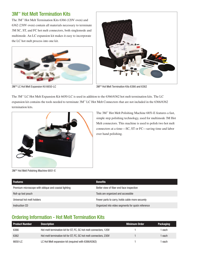## 3M<sup>™</sup> Hot Melt Termination Kits

The 3M™ Hot Melt Termination Kits 6366 (120V oven) and 6362 (230V oven) contain all materials necessary to terminate 3M SC, ST, and FC hot melt connectors, both singlemode and multimode. An LC expansion kit makes it easy to incorporate the LC hot melt process into one kit.





3M™ LC Hot Melt Expansion Kit 6650-LC 3MM Hot Melt Termination Kits 6366 and 6362

The 3M™ LC Hot Melt Expansion Kit 6650-LC is used in addition to the 6366/6362 hot melt termination kits. The LC expansion kit contains the tools needed to terminate 3M™ LC Hot Melt Connectors that are not included in the 6366/6362 termination kits.



The 3M™ Hot Melt Polishing Machine 6851-E features a fast, simple step polishing technology, used for multimode 3M Hot Melt connectors. This machine is used to polish two hot melt connectors at a time—SC, ST or FC—saving time and labor over hand polishing.

3MTM Hot Melt Polishing Machine 6851-E

| <b>Features</b>                                      | <b>Benefits</b>                                   |
|------------------------------------------------------|---------------------------------------------------|
| Premium microscope with oblique and coaxial lighting | Better view of fiber end face inspection          |
| Roll-up tool pouch                                   | Tools are organized and accessible                |
| Universal hot melt holders                           | Fewer parts to carry, holds cable more securely   |
| Instruction CD                                       | Organized into video segments for quick reference |

# Ordering Information - Hot Melt Termination Kits

| <b>Product Number</b> | <b>Description</b>                                                | <b>Minimum Order</b> | <b>Packaging</b> |
|-----------------------|-------------------------------------------------------------------|----------------------|------------------|
| 6366                  | Hot melt termination kit for ST, FC, SC hot melt connectors, 120V |                      | each             |
| 6362                  | Hot melt termination kit for ST, FC, SC hot melt connectors, 230V |                      | each             |
| 6650-LC               | LC Hot Melt expansion kit (required with 6366/6362)               |                      | each             |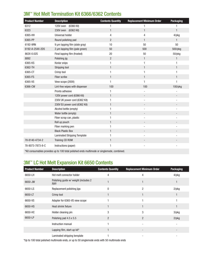# 3M™ Hot Melt Termination Kit 6366/6362 Contents

| <b>Product Number</b> | <b>Description</b>                                                                                             | <b>Contents Quantity</b> | <b>Replacement Minimum Order</b> | <b>Packaging</b> |
|-----------------------|----------------------------------------------------------------------------------------------------------------|--------------------------|----------------------------------|------------------|
| 6312                  | 120V oven (6366 Kit)                                                                                           | 1                        | $\mathbf{1}$                     |                  |
| 6323                  | 230V oven (6362 Kit)                                                                                           | $\mathbf{1}$             | $\mathbf{1}$                     | $\mathbf{1}$     |
| 6365-HH               | Universal holder                                                                                               | 4                        | 4                                | 4/pkg            |
| 6365-PP               | Round polishing pad                                                                                            | $\overline{c}$           | $\mathbf{1}$                     | $\mathbf{1}$     |
| 6192-9RN              | 9 µm lapping film (slate gray)                                                                                 | 10                       | 50                               | 50               |
| 6192-A-254X-2D5       | 2 µm lapping film (pale green)                                                                                 | 50                       | 500                              | 500/pkg          |
| 863X-0.02S            | Final lapping film (frosted)                                                                                   | 20                       | 50                               | 50/pkg           |
| 8892                  | Polishing jig                                                                                                  | $\overline{2}$           | $\mathbf{1}$                     | 1                |
| 6365-KS               | Kevlar snips                                                                                                   | 1                        | 1                                |                  |
| 6362-TH               | Stripping tool                                                                                                 | $\mathbf{1}$             | $\mathbf{1}$                     | $\mathbf{1}$     |
| 6365-CT               | Crimp tool                                                                                                     | 1                        | 1                                | 1                |
| 6365-FS               | Fiber scribe                                                                                                   | $\mathbf{1}$             | 1                                | 1                |
| 6365-VS               | View scope (200X)                                                                                              | 1                        | $\mathbf{1}$                     |                  |
| 6366-CW               | Lint-free wipes with dispenser                                                                                 | 100                      | 100                              | 100/pkg          |
|                       | Pronto adhesive                                                                                                | 1                        |                                  |                  |
|                       | 120V power cord (6366 Kit)                                                                                     | $\mathbf{1}$             |                                  |                  |
|                       | 230V UK power cord (6362 Kit)                                                                                  | 1                        | ÷,                               |                  |
|                       | 230V EU power cord (6362 Kit)                                                                                  | $\mathbf{1}$             |                                  |                  |
|                       | Alcohol bottle (empty)                                                                                         | 1                        |                                  |                  |
|                       | Water bottle (empty)                                                                                           | $\mathbf{1}$             |                                  |                  |
|                       | Fiber scrap can, plastic                                                                                       | 1                        | ÷,                               |                  |
|                       | Roll up pouch                                                                                                  | $\mathbf{1}$             |                                  |                  |
|                       | Fiber marking pen                                                                                              | 1                        |                                  |                  |
|                       | <b>Black Plastic Box</b>                                                                                       | $\mathbf{1}$             |                                  |                  |
|                       | <b>Laminated Stripping Template</b>                                                                            | 1                        |                                  |                  |
| 78-8140-4734-2        | Training CD ROM                                                                                                | $\mathbf{1}$             |                                  |                  |
| 78-8073-7873-8-C      | Instructions (paper)                                                                                           | 1                        |                                  |                  |
|                       | in the common contract of the common contract of the common contract of the common common common common common |                          |                                  |                  |

#### \*Kit consumables provides up to 100 total polished ends multimode or singlemode, combined.

# 3M™ LC Hot Melt Expansion Kit 6650 Contents

| <b>Product Number</b> | <b>Description</b>                             | <b>Contents Quantity</b> | <b>Replacement Minimum Order</b> | <b>Packaging</b> |
|-----------------------|------------------------------------------------|--------------------------|----------------------------------|------------------|
| 6650-LH               | Hot melt connector holder                      | 4                        | 4                                | $4$ /pkg         |
| 6650-JW               | Polishing guide w/ weight (includes 2<br>jigs) |                          |                                  |                  |
| 6650-LS               | Replacement polishing jigs                     | 0                        | 2                                | $2$ /p $kg$      |
| 6650-LT               | Crimp tool                                     |                          |                                  |                  |
| 6650-VS               | Adapter for 6365-VS view scope                 |                          |                                  |                  |
| 6650-HS               | Heat shrink fixture                            |                          |                                  |                  |
| 6650-HC               | Holder cleaning pin                            | 3                        | 3                                | $3$ /p $kg$      |
| 6650-LP               | Polishing pad 4.5 x 5.5                        | $\overline{2}$           | $\overline{2}$                   | $2$ /p $kg$      |
|                       | Instruction manual                             |                          |                                  |                  |
|                       | Lapping film, start-up kit*                    |                          |                                  |                  |
|                       | Laminated stripping template                   |                          |                                  |                  |

\*Up to 100 total polished multimode ends, or up to 50 singlemode ends with 50 multimode ends